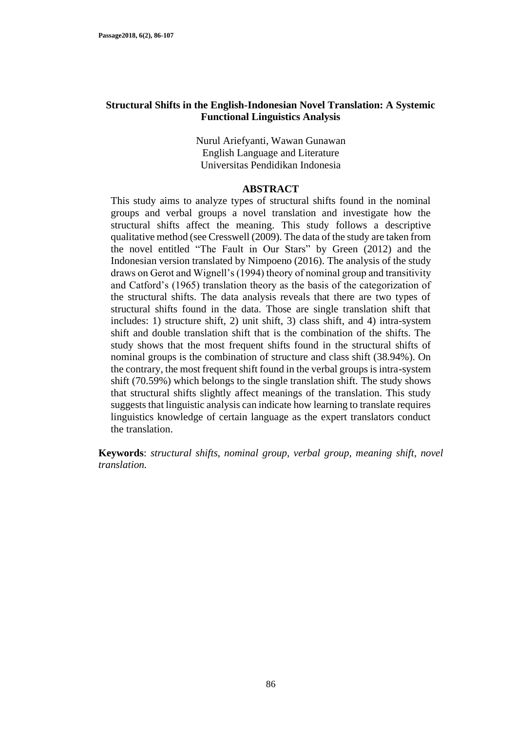#### **Structural Shifts in the English-Indonesian Novel Translation: A Systemic Functional Linguistics Analysis**

Nurul Ariefyanti, Wawan Gunawan English Language and Literature Universitas Pendidikan Indonesia

#### **ABSTRACT**

This study aims to analyze types of structural shifts found in the nominal groups and verbal groups a novel translation and investigate how the structural shifts affect the meaning. This study follows a descriptive qualitative method (see Cresswell (2009). The data of the study are taken from the novel entitled "The Fault in Our Stars" by Green (2012) and the Indonesian version translated by Nimpoeno (2016). The analysis of the study draws on Gerot and Wignell's (1994) theory of nominal group and transitivity and Catford's (1965) translation theory as the basis of the categorization of the structural shifts. The data analysis reveals that there are two types of structural shifts found in the data. Those are single translation shift that includes: 1) structure shift, 2) unit shift, 3) class shift, and 4) intra-system shift and double translation shift that is the combination of the shifts. The study shows that the most frequent shifts found in the structural shifts of nominal groups is the combination of structure and class shift (38.94%). On the contrary, the most frequent shift found in the verbal groups is intra-system shift (70.59%) which belongs to the single translation shift. The study shows that structural shifts slightly affect meanings of the translation. This study suggests that linguistic analysis can indicate how learning to translate requires linguistics knowledge of certain language as the expert translators conduct the translation.

**Keywords**: *structural shifts, nominal group, verbal group, meaning shift, novel translation.*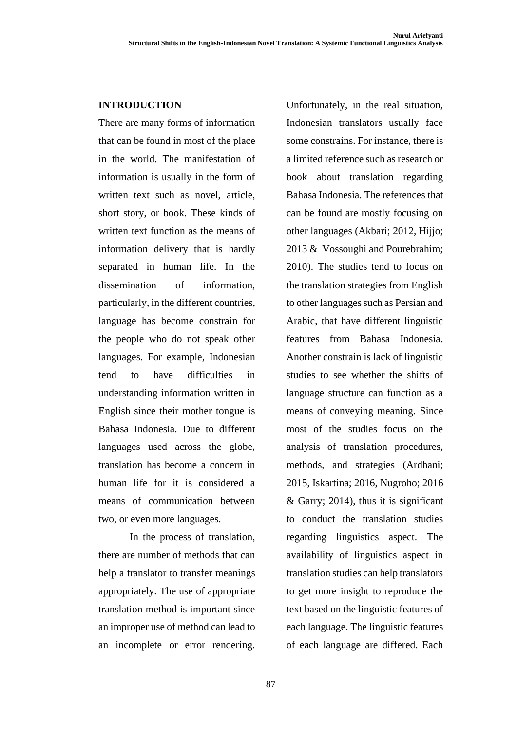### **INTRODUCTION**

There are many forms of information that can be found in most of the place in the world. The manifestation of information is usually in the form of written text such as novel, article, short story, or book. These kinds of written text function as the means of information delivery that is hardly separated in human life. In the dissemination of information, particularly, in the different countries, language has become constrain for the people who do not speak other languages. For example, Indonesian tend to have difficulties in understanding information written in English since their mother tongue is Bahasa Indonesia. Due to different languages used across the globe, translation has become a concern in human life for it is considered a means of communication between two, or even more languages.

In the process of translation, there are number of methods that can help a translator to transfer meanings appropriately. The use of appropriate translation method is important since an improper use of method can lead to an incomplete or error rendering.

Unfortunately, in the real situation, Indonesian translators usually face some constrains. For instance, there is a limited reference such as research or book about translation regarding Bahasa Indonesia. The references that can be found are mostly focusing on other languages (Akbari; 2012, Hijjo; 2013 & Vossoughi and Pourebrahim; 2010). The studies tend to focus on the translation strategies from English to other languages such as Persian and Arabic, that have different linguistic features from Bahasa Indonesia. Another constrain is lack of linguistic studies to see whether the shifts of language structure can function as a means of conveying meaning. Since most of the studies focus on the analysis of translation procedures, methods, and strategies (Ardhani; 2015, Iskartina; 2016, Nugroho; 2016 & Garry; 2014), thus it is significant to conduct the translation studies regarding linguistics aspect. The availability of linguistics aspect in translation studies can help translators to get more insight to reproduce the text based on the linguistic features of each language. The linguistic features of each language are differed. Each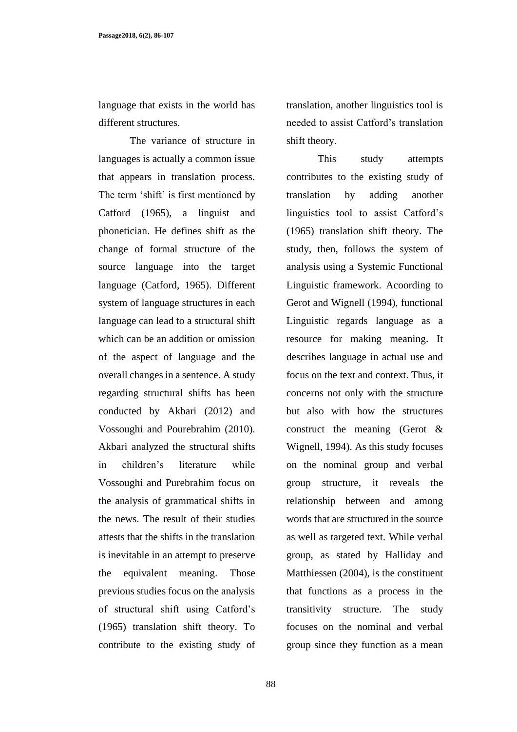**Passage2018, 6(2), 86-107**

language that exists in the world has different structures.

The variance of structure in languages is actually a common issue that appears in translation process. The term 'shift' is first mentioned by Catford (1965), a linguist and phonetician. He defines shift as the change of formal structure of the source language into the target language (Catford, 1965). Different system of language structures in each language can lead to a structural shift which can be an addition or omission of the aspect of language and the overall changes in a sentence. A study regarding structural shifts has been conducted by Akbari (2012) and Vossoughi and Pourebrahim (2010). Akbari analyzed the structural shifts in children's literature while Vossoughi and Purebrahim focus on the analysis of grammatical shifts in the news. The result of their studies attests that the shifts in the translation is inevitable in an attempt to preserve the equivalent meaning. Those previous studies focus on the analysis of structural shift using Catford's (1965) translation shift theory. To contribute to the existing study of translation, another linguistics tool is needed to assist Catford's translation shift theory.

This study attempts contributes to the existing study of translation by adding another linguistics tool to assist Catford's (1965) translation shift theory. The study, then, follows the system of analysis using a Systemic Functional Linguistic framework. Acoording to Gerot and Wignell (1994), functional Linguistic regards language as a resource for making meaning. It describes language in actual use and focus on the text and context. Thus, it concerns not only with the structure but also with how the structures construct the meaning (Gerot & Wignell, 1994). As this study focuses on the nominal group and verbal group structure, it reveals the relationship between and among words that are structured in the source as well as targeted text. While verbal group, as stated by Halliday and Matthiessen (2004), is the constituent that functions as a process in the transitivity structure. The study focuses on the nominal and verbal group since they function as a mean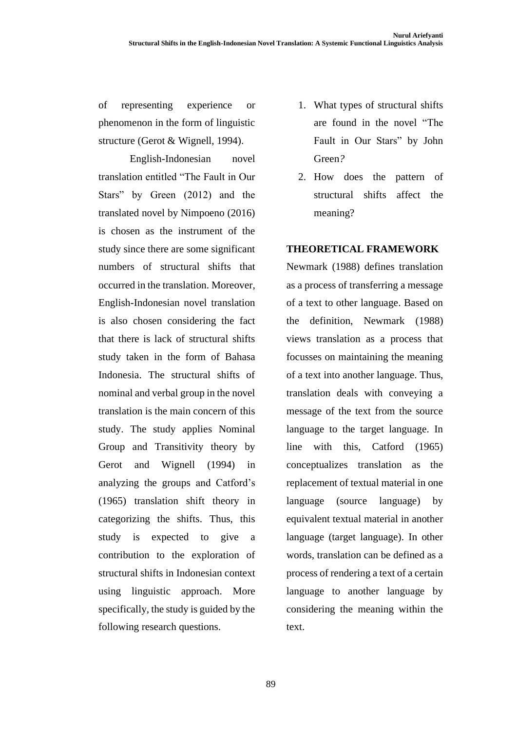of representing experience or phenomenon in the form of linguistic structure (Gerot & Wignell, 1994).

English-Indonesian novel translation entitled "The Fault in Our Stars" by Green (2012) and the translated novel by Nimpoeno (2016) is chosen as the instrument of the study since there are some significant numbers of structural shifts that occurred in the translation. Moreover, English-Indonesian novel translation is also chosen considering the fact that there is lack of structural shifts study taken in the form of Bahasa Indonesia. The structural shifts of nominal and verbal group in the novel translation is the main concern of this study. The study applies Nominal Group and Transitivity theory by Gerot and Wignell (1994) in analyzing the groups and Catford's (1965) translation shift theory in categorizing the shifts. Thus, this study is expected to give a contribution to the exploration of structural shifts in Indonesian context using linguistic approach. More specifically, the study is guided by the following research questions.

- 1. What types of structural shifts are found in the novel "The Fault in Our Stars" by John Green*?*
- 2. How does the pattern of structural shifts affect the meaning?

## **THEORETICAL FRAMEWORK**

Newmark (1988) defines translation as a process of transferring a message of a text to other language. Based on the definition, Newmark (1988) views translation as a process that focusses on maintaining the meaning of a text into another language. Thus, translation deals with conveying a message of the text from the source language to the target language. In line with this, Catford (1965) conceptualizes translation as the replacement of textual material in one language (source language) by equivalent textual material in another language (target language). In other words, translation can be defined as a process of rendering a text of a certain language to another language by considering the meaning within the text.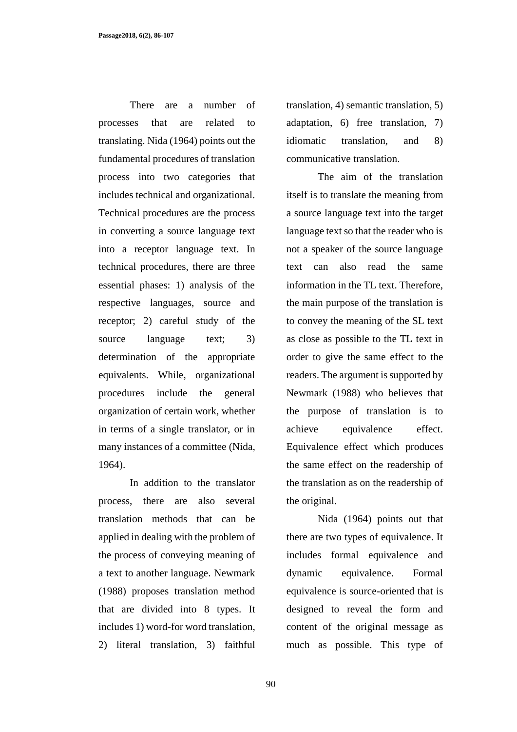There are a number of processes that are related to translating. Nida (1964) points out the fundamental procedures of translation process into two categories that includes technical and organizational. Technical procedures are the process in converting a source language text into a receptor language text. In technical procedures, there are three essential phases: 1) analysis of the respective languages, source and receptor; 2) careful study of the source language text; 3) determination of the appropriate equivalents. While, organizational procedures include the general organization of certain work, whether in terms of a single translator, or in many instances of a committee (Nida, 1964).

In addition to the translator process, there are also several translation methods that can be applied in dealing with the problem of the process of conveying meaning of a text to another language. Newmark (1988) proposes translation method that are divided into 8 types. It includes 1) word-for word translation, 2) literal translation, 3) faithful

translation, 4) semantic translation, 5) adaptation, 6) free translation, 7) idiomatic translation, and 8) communicative translation.

The aim of the translation itself is to translate the meaning from a source language text into the target language text so that the reader who is not a speaker of the source language text can also read the same information in the TL text. Therefore, the main purpose of the translation is to convey the meaning of the SL text as close as possible to the TL text in order to give the same effect to the readers. The argument is supported by Newmark (1988) who believes that the purpose of translation is to achieve equivalence effect. Equivalence effect which produces the same effect on the readership of the translation as on the readership of the original.

Nida (1964) points out that there are two types of equivalence. It includes formal equivalence and dynamic equivalence. Formal equivalence is source-oriented that is designed to reveal the form and content of the original message as much as possible. This type of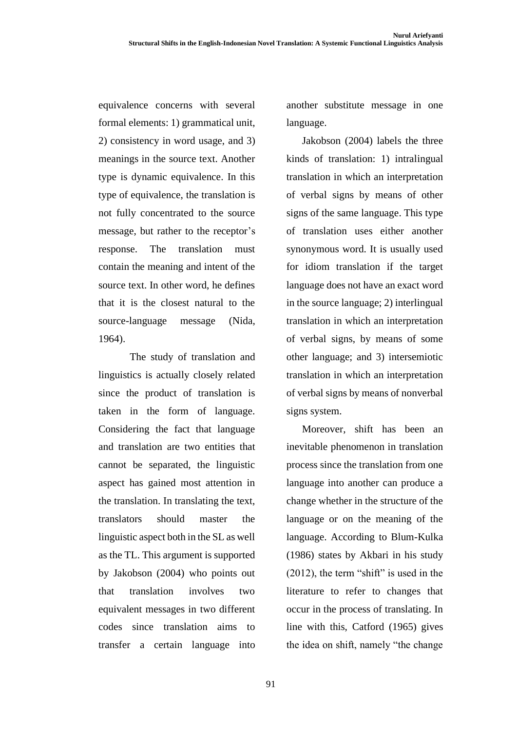equivalence concerns with several formal elements: 1) grammatical unit, 2) consistency in word usage, and 3) meanings in the source text. Another type is dynamic equivalence. In this type of equivalence, the translation is not fully concentrated to the source message, but rather to the receptor's response. The translation must contain the meaning and intent of the source text. In other word, he defines that it is the closest natural to the source-language message (Nida, 1964).

The study of translation and linguistics is actually closely related since the product of translation is taken in the form of language. Considering the fact that language and translation are two entities that cannot be separated, the linguistic aspect has gained most attention in the translation. In translating the text, translators should master the linguistic aspect both in the SL as well as the TL. This argument is supported by Jakobson (2004) who points out that translation involves two equivalent messages in two different codes since translation aims to transfer a certain language into another substitute message in one language.

Jakobson (2004) labels the three kinds of translation: 1) intralingual translation in which an interpretation of verbal signs by means of other signs of the same language. This type of translation uses either another synonymous word. It is usually used for idiom translation if the target language does not have an exact word in the source language; 2) interlingual translation in which an interpretation of verbal signs, by means of some other language; and 3) intersemiotic translation in which an interpretation of verbal signs by means of nonverbal signs system.

Moreover, shift has been an inevitable phenomenon in translation process since the translation from one language into another can produce a change whether in the structure of the language or on the meaning of the language. According to Blum-Kulka (1986) states by Akbari in his study (2012), the term "shift" is used in the literature to refer to changes that occur in the process of translating. In line with this, Catford (1965) gives the idea on shift, namely "the change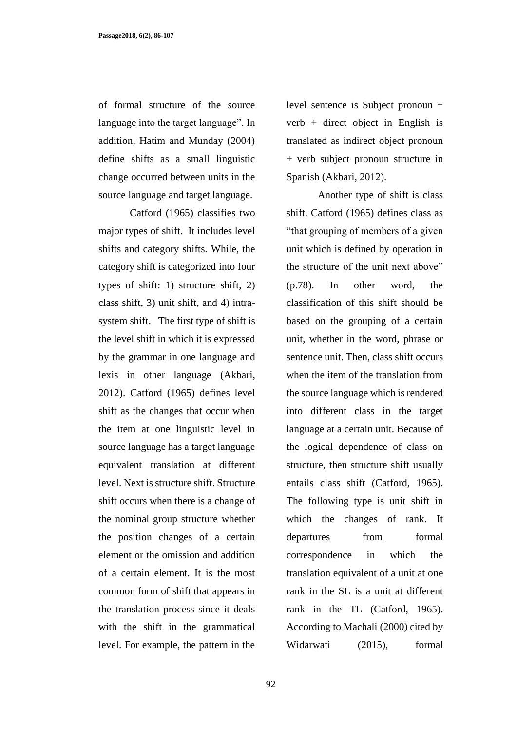of formal structure of the source language into the target language". In addition, Hatim and Munday (2004) define shifts as a small linguistic change occurred between units in the source language and target language.

Catford (1965) classifies two major types of shift. It includes level shifts and category shifts. While, the category shift is categorized into four types of shift: 1) structure shift, 2) class shift, 3) unit shift, and 4) intrasystem shift. The first type of shift is the level shift in which it is expressed by the grammar in one language and lexis in other language (Akbari, 2012). Catford (1965) defines level shift as the changes that occur when the item at one linguistic level in source language has a target language equivalent translation at different level. Next is structure shift. Structure shift occurs when there is a change of the nominal group structure whether the position changes of a certain element or the omission and addition of a certain element. It is the most common form of shift that appears in the translation process since it deals with the shift in the grammatical level. For example, the pattern in the

92

level sentence is Subject pronoun + verb + direct object in English is translated as indirect object pronoun + verb subject pronoun structure in Spanish (Akbari, 2012).

Another type of shift is class shift. Catford (1965) defines class as "that grouping of members of a given unit which is defined by operation in the structure of the unit next above" (p.78). In other word, the classification of this shift should be based on the grouping of a certain unit, whether in the word, phrase or sentence unit. Then, class shift occurs when the item of the translation from the source language which is rendered into different class in the target language at a certain unit. Because of the logical dependence of class on structure, then structure shift usually entails class shift (Catford, 1965). The following type is unit shift in which the changes of rank. It departures from formal correspondence in which the translation equivalent of a unit at one rank in the SL is a unit at different rank in the TL (Catford, 1965). According to Machali (2000) cited by Widarwati (2015), formal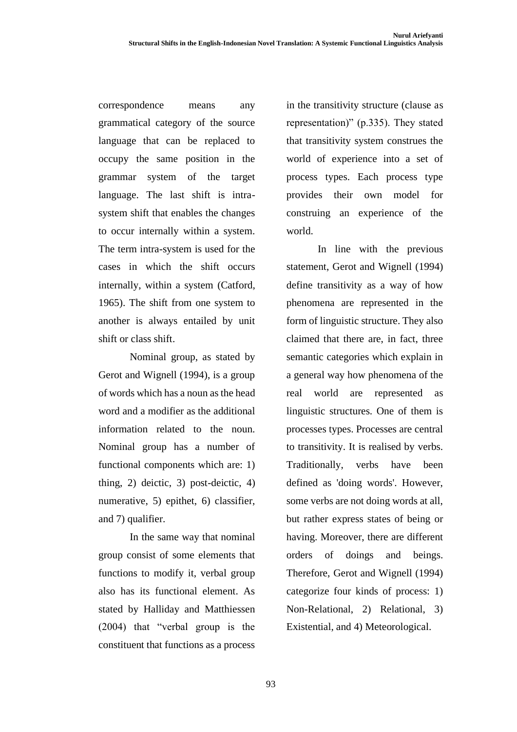correspondence means any grammatical category of the source language that can be replaced to occupy the same position in the grammar system of the target language. The last shift is intrasystem shift that enables the changes to occur internally within a system. The term intra-system is used for the cases in which the shift occurs internally, within a system (Catford, 1965). The shift from one system to another is always entailed by unit shift or class shift.

Nominal group, as stated by Gerot and Wignell (1994), is a group of words which has a noun as the head word and a modifier as the additional information related to the noun. Nominal group has a number of functional components which are: 1) thing, 2) deictic, 3) post-deictic, 4) numerative, 5) epithet, 6) classifier, and 7) qualifier.

In the same way that nominal group consist of some elements that functions to modify it, verbal group also has its functional element. As stated by Halliday and Matthiessen (2004) that "verbal group is the constituent that functions as a process in the transitivity structure (clause as representation)" (p.335). They stated that transitivity system construes the world of experience into a set of process types. Each process type provides their own model for construing an experience of the world.

In line with the previous statement, Gerot and Wignell (1994) define transitivity as a way of how phenomena are represented in the form of linguistic structure. They also claimed that there are, in fact, three semantic categories which explain in a general way how phenomena of the real world are represented as linguistic structures. One of them is processes types. Processes are central to transitivity. It is realised by verbs. Traditionally, verbs have been defined as 'doing words'. However, some verbs are not doing words at all, but rather express states of being or having. Moreover, there are different orders of doings and beings. Therefore, Gerot and Wignell (1994) categorize four kinds of process: 1) Non-Relational, 2) Relational, 3) Existential, and 4) Meteorological.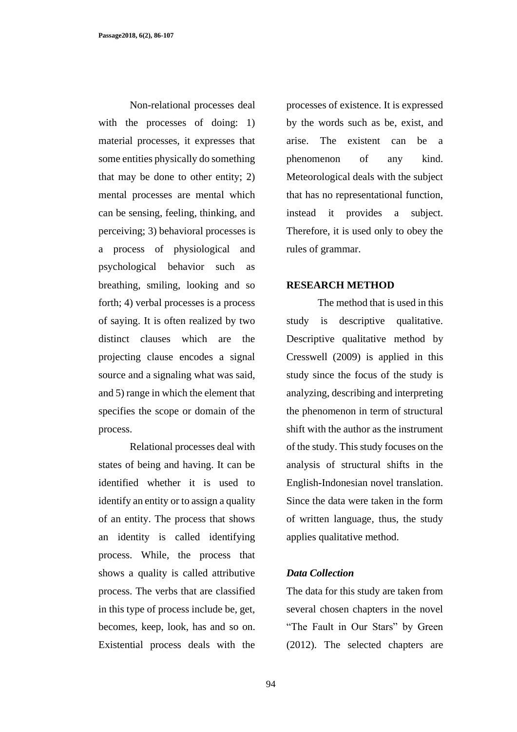Non-relational processes deal with the processes of doing: 1) material processes, it expresses that some entities physically do something that may be done to other entity; 2) mental processes are mental which can be sensing, feeling, thinking, and perceiving; 3) behavioral processes is a process of physiological and psychological behavior such as breathing, smiling, looking and so forth; 4) verbal processes is a process of saying. It is often realized by two distinct clauses which are the projecting clause encodes a signal source and a signaling what was said, and 5) range in which the element that specifies the scope or domain of the process.

Relational processes deal with states of being and having. It can be identified whether it is used to identify an entity or to assign a quality of an entity. The process that shows an identity is called identifying process. While, the process that shows a quality is called attributive process. The verbs that are classified in this type of process include be, get, becomes, keep, look, has and so on. Existential process deals with the processes of existence. It is expressed by the words such as be, exist, and arise. The existent can be a phenomenon of any kind. Meteorological deals with the subject that has no representational function, instead it provides a subject. Therefore, it is used only to obey the rules of grammar.

#### **RESEARCH METHOD**

The method that is used in this study is descriptive qualitative. Descriptive qualitative method by Cresswell (2009) is applied in this study since the focus of the study is analyzing, describing and interpreting the phenomenon in term of structural shift with the author as the instrument of the study. This study focuses on the analysis of structural shifts in the English-Indonesian novel translation. Since the data were taken in the form of written language, thus, the study applies qualitative method.

#### *Data Collection*

The data for this study are taken from several chosen chapters in the novel "The Fault in Our Stars" by Green (2012). The selected chapters are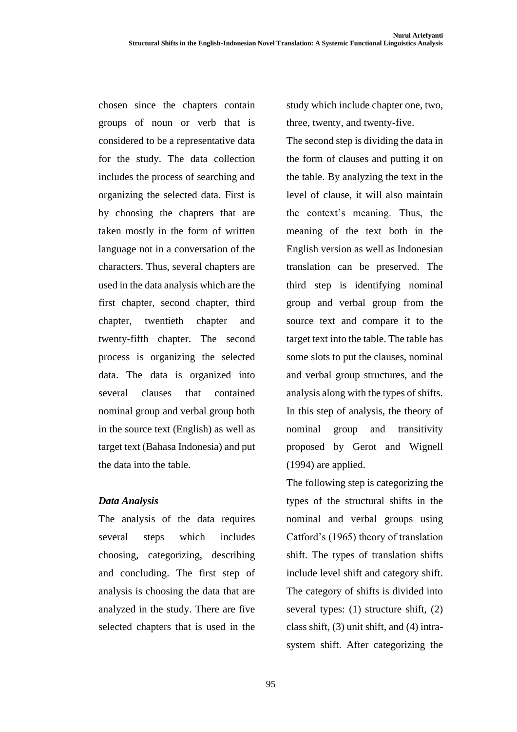chosen since the chapters contain groups of noun or verb that is considered to be a representative data for the study. The data collection includes the process of searching and organizing the selected data. First is by choosing the chapters that are taken mostly in the form of written language not in a conversation of the characters. Thus, several chapters are used in the data analysis which are the first chapter, second chapter, third chapter, twentieth chapter and twenty-fifth chapter. The second process is organizing the selected data. The data is organized into several clauses that contained nominal group and verbal group both in the source text (English) as well as target text (Bahasa Indonesia) and put the data into the table.

## *Data Analysis*

The analysis of the data requires several steps which includes choosing, categorizing, describing and concluding. The first step of analysis is choosing the data that are analyzed in the study. There are five selected chapters that is used in the

study which include chapter one, two, three, twenty, and twenty-five.

The second step is dividing the data in the form of clauses and putting it on the table. By analyzing the text in the level of clause, it will also maintain the context's meaning. Thus, the meaning of the text both in the English version as well as Indonesian translation can be preserved. The third step is identifying nominal group and verbal group from the source text and compare it to the target text into the table. The table has some slots to put the clauses, nominal and verbal group structures, and the analysis along with the types of shifts. In this step of analysis, the theory of nominal group and transitivity proposed by Gerot and Wignell (1994) are applied.

The following step is categorizing the types of the structural shifts in the nominal and verbal groups using Catford's (1965) theory of translation shift. The types of translation shifts include level shift and category shift. The category of shifts is divided into several types: (1) structure shift, (2) class shift, (3) unit shift, and (4) intrasystem shift. After categorizing the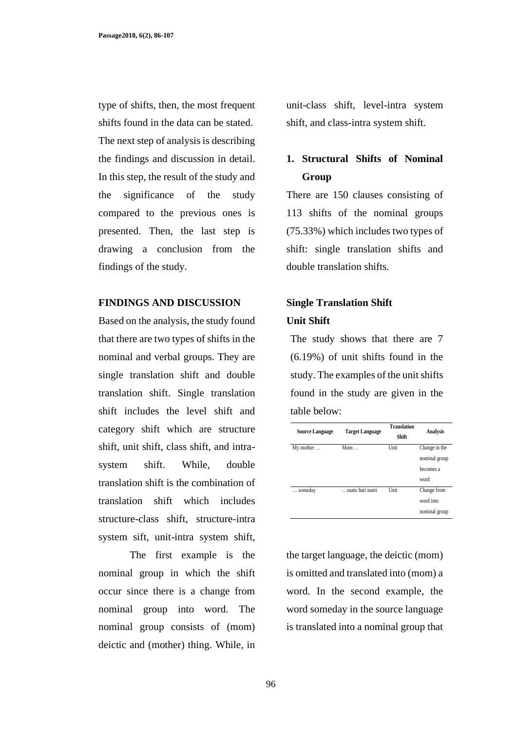type of shifts, then, the most frequent shifts found in the data can be stated. The next step of analysis is describing the findings and discussion in detail. In this step, the result of the study and the significance of the study compared to the previous ones is presented. Then, the last step is drawing a conclusion from the findings of the study.

#### **FINDINGS AND DISCUSSION**

Based on the analysis, the study found that there are two types of shifts in the nominal and verbal groups. They are single translation shift and double translation shift. Single translation shift includes the level shift and category shift which are structure shift, unit shift, class shift, and intrasystem shift. While, double translation shift is the combination of translation shift which includes structure-class shift, structure-intra system sift, unit-intra system shift,

The first example is the nominal group in which the shift occur since there is a change from nominal group into word. The nominal group consists of (mom) deictic and (mother) thing. While, in unit-class shift, level-intra system shift, and class-intra system shift.

## **1. Structural Shifts of Nominal Group**

There are 150 clauses consisting of 113 shifts of the nominal groups (75.33%) which includes two types of shift: single translation shifts and double translation shifts.

## **Single Translation Shift Unit Shift**

The study shows that there are 7 (6.19%) of unit shifts found in the study. The examples of the unit shifts found in the study are given in the table below:

| <b>Source Language</b> | <b>Target Language</b> | <b>Translation</b><br>Shift | Analysis      |
|------------------------|------------------------|-----------------------------|---------------|
| My mother              | $M$ om                 | Unit                        | Change in the |
|                        |                        |                             | nominal group |
|                        |                        |                             | becomes a     |
|                        |                        |                             | word          |
| someday                | suatu hari nanti       | Unit                        | Change from   |
|                        |                        |                             | word into     |
|                        |                        |                             | nominal group |

the target language, the deictic (mom) is omitted and translated into (mom) a word*.* In the second example, the word someday in the source language is translated into a nominal group that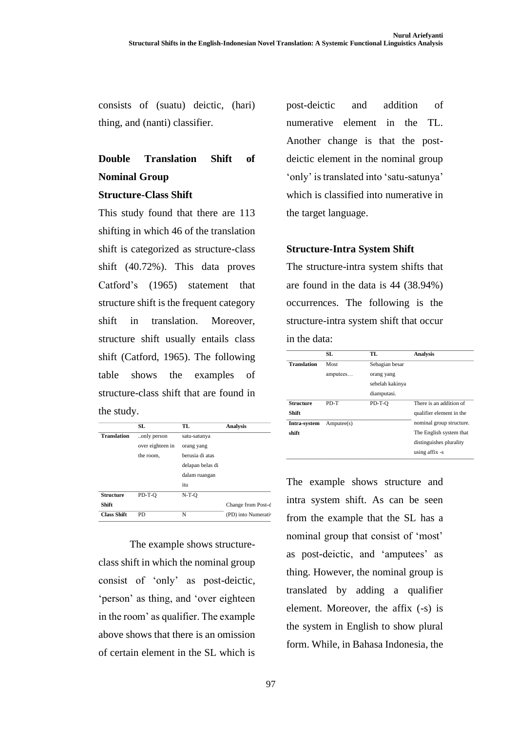consists of (suatu) deictic, (hari) thing, and (nanti) classifier.

# **Double Translation Shift of Nominal Group**

#### **Structure-Class Shift**

This study found that there are 113 shifting in which 46 of the translation shift is categorized as structure-class shift (40.72%). This data proves Catford's (1965) statement that structure shift is the frequent category shift in translation. Moreover, structure shift usually entails class shift (Catford, 1965). The following table shows the examples of structure-class shift that are found in the study.

|                    | SL               | TL.              | Analysis            |
|--------------------|------------------|------------------|---------------------|
| <b>Translation</b> | only person      | satu-satunya     |                     |
|                    | over eighteen in | orang yang       |                     |
|                    | the room.        | berusia di atas  |                     |
|                    |                  | delapan belas di |                     |
|                    |                  | dalam ruangan    |                     |
|                    |                  | itu              |                     |
| <b>Structure</b>   | PD-T-O           | $N-T-O$          |                     |
| <b>Shift</b>       |                  |                  | Change from Post-d  |
| <b>Class Shift</b> | PD.              | N                | (PD) into Numerativ |

The example shows structureclass shift in which the nominal group consist of 'only' as post-deictic, 'person' as thing, and 'over eighteen in the room' as qualifier. The example above shows that there is an omission of certain element in the SL which is

post-deictic and addition of numerative element in the TL. Another change is that the postdeictic element in the nominal group 'only' is translated into 'satu-satunya' which is classified into numerative in the target language.

## **Structure-Intra System Shift**

The structure-intra system shifts that are found in the data is 44 (38.94%) occurrences. The following is the structure-intra system shift that occur in the data:

|                    | SL        | TL.             | <b>Analysis</b>          |
|--------------------|-----------|-----------------|--------------------------|
| <b>Translation</b> | Most      | Sebagian besar  |                          |
|                    | amputees  | orang yang      |                          |
|                    |           | sebelah kakinya |                          |
|                    |           | diamputasi.     |                          |
| <b>Structure</b>   | PD-T      | PD-T-O          | There is an addition of  |
| <b>Shift</b>       |           |                 | qualifier element in the |
| Intra-system       | Ampute(s) |                 | nominal group structure. |
| shift              |           |                 | The English system that  |
|                    |           |                 | distinguishes plurality  |
|                    |           |                 | using affix -s           |

The example shows structure and intra system shift. As can be seen from the example that the SL has a nominal group that consist of 'most' as post-deictic, and 'amputees' as thing. However, the nominal group is translated by adding a qualifier element. Moreover, the affix (-s) is the system in English to show plural form. While, in Bahasa Indonesia, the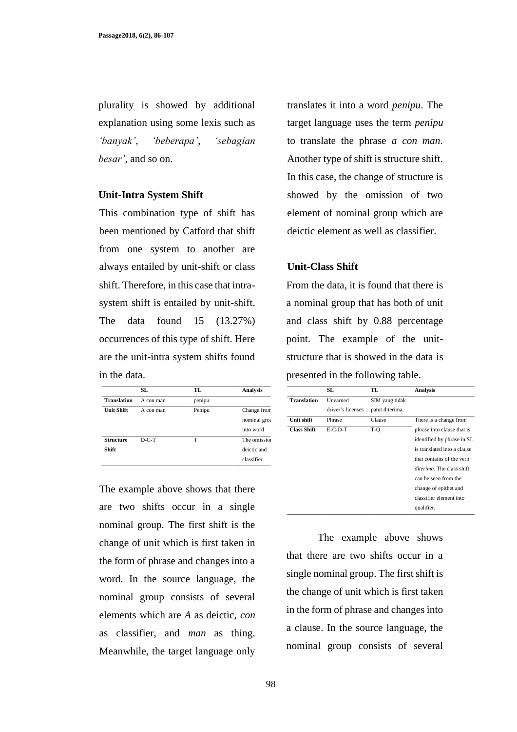plurality is showed by additional explanation using some lexis such as *'banyak'*, *'beberapa'*, *'sebagian besar'*, and so on.

#### **Unit-Intra System Shift**

This combination type of shift has been mentioned by Catford that shift from one system to another are always entailed by unit-shift or class shift. Therefore, in this case that intrasystem shift is entailed by unit-shift. The data found 15 (13.27%) occurrences of this type of shift. Here are the unit-intra system shifts found in the data.

| SL        | TL     | <b>Analysis</b> |
|-----------|--------|-----------------|
| A con man | penipu |                 |
| A con man | Penipu | Change from     |
|           |        | nominal grou    |
|           |        | into word       |
| $D-C-T$   | т      | The omission    |
|           |        | deictic and     |
|           |        |                 |
|           |        |                 |

The example above shows that there are two shifts occur in a single nominal group. The first shift is the change of unit which is first taken in the form of phrase and changes into a word. In the source language, the nominal group consists of several elements which are *A* as deictic, *con* as classifier, and *man* as thing. Meanwhile, the target language only translates it into a word *penipu*. The target language uses the term *penipu*  to translate the phrase *a con man*. Another type of shift is structure shift. In this case, the change of structure is showed by the omission of two element of nominal group which are deictic element as well as classifier.

#### **Unit-Class Shift**

From the data, it is found that there is a nominal group that has both of unit and class shift by 0.88 percentage point. The example of the unitstructure that is showed in the data is presented in the following table.

|                    | SL                | TL.             | <b>Analysis</b>             |
|--------------------|-------------------|-----------------|-----------------------------|
| <b>Translation</b> | Unearned          | SIM yang tidak  |                             |
|                    | driver's licenses | patut diterima. |                             |
| Unit shift         | Phrase            | Clause          | There is a change from      |
| <b>Class Shift</b> | $E-C-D-T$         | T-O             | phrase into clause that is  |
|                    |                   |                 | identified by phrase in SL  |
|                    |                   |                 | is translated into a clause |
|                    |                   |                 | that contains of the verb   |
|                    |                   |                 | diterima. The class shift   |
|                    |                   |                 | can be seen from the        |
|                    |                   |                 | change of epithet and       |
|                    |                   |                 | classifier element into     |
|                    |                   |                 | qualifier.                  |
|                    |                   |                 |                             |

The example above shows that there are two shifts occur in a single nominal group. The first shift is the change of unit which is first taken in the form of phrase and changes into a clause. In the source language, the nominal group consists of several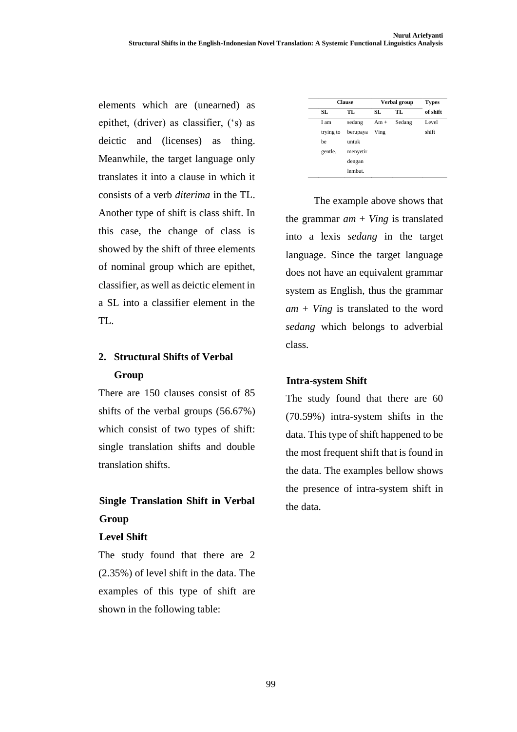elements which are (unearned) as epithet, (driver) as classifier, ('s) as deictic and (licenses) as thing. Meanwhile, the target language only translates it into a clause in which it consists of a verb *diterima* in the TL. Another type of shift is class shift. In this case, the change of class is showed by the shift of three elements of nominal group which are epithet, classifier, as well as deictic element in a SL into a classifier element in the TL.

## **2. Structural Shifts of Verbal Group**

There are 150 clauses consist of 85 shifts of the verbal groups (56.67%) which consist of two types of shift: single translation shifts and double translation shifts.

## **Single Translation Shift in Verbal Group**

### **Level Shift**

The study found that there are 2 (2.35%) of level shift in the data. The examples of this type of shift are shown in the following table:

|           | <b>Clause</b> |       | Verbal group | <b>Types</b> |
|-----------|---------------|-------|--------------|--------------|
| SL        | TL            | SL.   | TL           | of shift     |
| I am      | sedang        | $Am+$ | Sedang       | Level        |
| trying to | berupaya      | Ving  |              | shift        |
| be        | untuk         |       |              |              |
| gentle.   | menyetir      |       |              |              |
|           | dengan        |       |              |              |
|           | lembut.       |       |              |              |

The example above shows that the grammar *am* + *Ving* is translated into a lexis *sedang* in the target language. Since the target language does not have an equivalent grammar system as English, thus the grammar *am* + *Ving* is translated to the word *sedang* which belongs to adverbial class.

### **Intra-system Shift**

The study found that there are 60 (70.59%) intra-system shifts in the data. This type of shift happened to be the most frequent shift that is found in the data. The examples bellow shows the presence of intra-system shift in the data.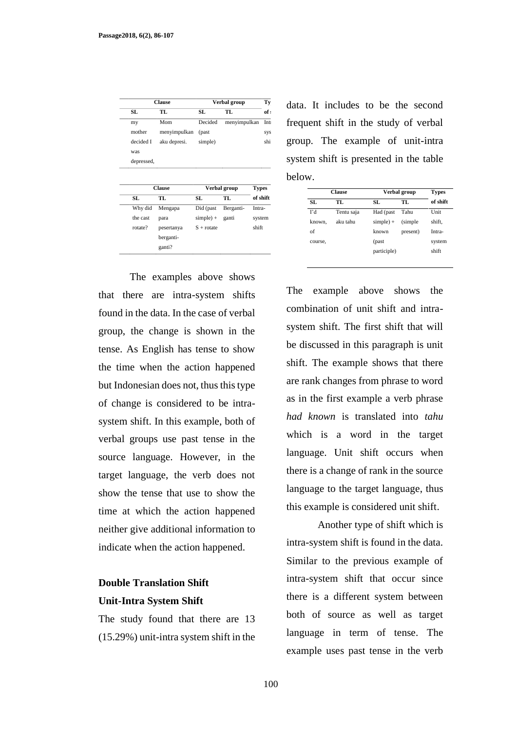| <b>Clause</b> |               |              | Verbal group |              | Ty       |
|---------------|---------------|--------------|--------------|--------------|----------|
| SL            | TL            | SL           | TL           |              | of :     |
| my            | Mom           | Decided      | menyimpulkan |              | Int      |
| mother        | menyimpulkan  | (past        |              |              | sys      |
| decided I     | aku depresi.  | simple)      |              |              | shi      |
| was           |               |              |              |              |          |
| depressed,    |               |              |              |              |          |
|               |               |              |              |              |          |
|               | <b>Clause</b> |              | Verbal group | <b>Types</b> |          |
| SL            | TL            | SL           | TL           |              | of shift |
| Why did       | Mengapa       | Did (past    | Berganti-    | Intra-       |          |
| the cast      | para          | $simple) +$  | ganti        | system       |          |
| rotate?       | pesertanya    | $S + rotate$ |              | shift        |          |
|               | berganti-     |              |              |              |          |

The examples above shows that there are intra-system shifts found in the data. In the case of verbal group, the change is shown in the tense. As English has tense to show the time when the action happened but Indonesian does not, thus this type of change is considered to be intrasystem shift. In this example, both of verbal groups use past tense in the source language. However, in the target language, the verb does not show the tense that use to show the time at which the action happened neither give additional information to indicate when the action happened.

## **Double Translation Shift Unit-Intra System Shift**

The study found that there are 13 (15.29%) unit-intra system shift in the data. It includes to be the second frequent shift in the study of verbal group. The example of unit-intra system shift is presented in the table below.

| <b>Clause</b> |            | Verbal group |          | <b>Types</b> |
|---------------|------------|--------------|----------|--------------|
| SL.           | TL.        | SL.          | TL.      | of shift     |
| Гd            | Tentu saja | Had (past    | Tahu     | Unit         |
| known.        | aku tahu   | $simple) +$  | (simple) | shift,       |
| of            |            | known        | present) | Intra-       |
| course,       |            | (past        |          | system       |
|               |            | participle)  |          | shift        |

The example above shows the combination of unit shift and intrasystem shift. The first shift that will be discussed in this paragraph is unit shift. The example shows that there are rank changes from phrase to word as in the first example a verb phrase *had known* is translated into *tahu* which is a word in the target language. Unit shift occurs when there is a change of rank in the source language to the target language, thus this example is considered unit shift.

Another type of shift which is intra-system shift is found in the data. Similar to the previous example of intra-system shift that occur since there is a different system between both of source as well as target language in term of tense. The example uses past tense in the verb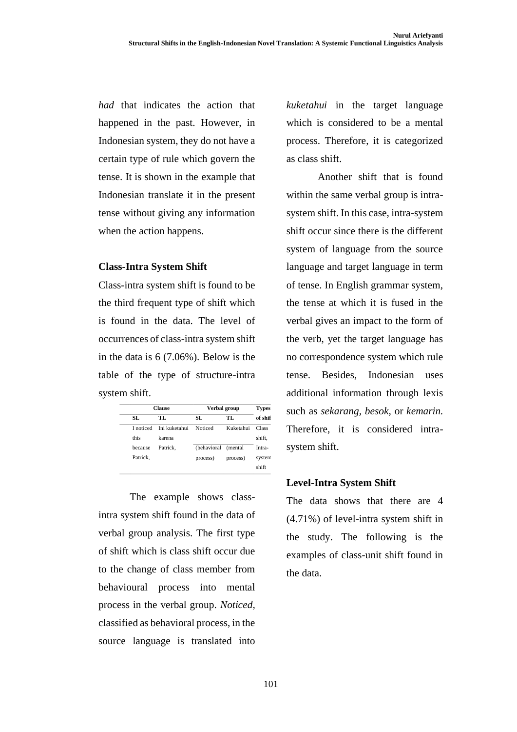*had* that indicates the action that happened in the past. However, in Indonesian system, they do not have a certain type of rule which govern the tense. It is shown in the example that Indonesian translate it in the present tense without giving any information when the action happens.

### **Class-Intra System Shift**

Class-intra system shift is found to be the third frequent type of shift which is found in the data. The level of occurrences of class-intra system shift in the data is 6 (7.06%). Below is the table of the type of structure-intra system shift.

|           | <b>Clause</b> |             | Verbal group |         |  |
|-----------|---------------|-------------|--------------|---------|--|
| SL.       | TL.           | SL.         | TL.          | of shif |  |
| I noticed | Ini kuketahui | Noticed     | Kuketahui    | Class   |  |
| this      | karena        |             |              | shift,  |  |
| because   | Patrick.      | (behavioral | (mental)     | Intra-  |  |
| Patrick.  |               | process)    | process)     | system  |  |
|           |               |             |              | shift   |  |

The example shows classintra system shift found in the data of verbal group analysis. The first type of shift which is class shift occur due to the change of class member from behavioural process into mental process in the verbal group. *Noticed,* classified as behavioral process, in the source language is translated into

*kuketahui* in the target language which is considered to be a mental process. Therefore, it is categorized as class shift.

Another shift that is found within the same verbal group is intrasystem shift. In this case, intra-system shift occur since there is the different system of language from the source language and target language in term of tense. In English grammar system, the tense at which it is fused in the verbal gives an impact to the form of the verb, yet the target language has no correspondence system which rule tense. Besides, Indonesian uses additional information through lexis such as *sekarang, besok,* or *kemarin.* Therefore, it is considered intrasystem shift.

## **Level-Intra System Shift**

The data shows that there are 4 (4.71%) of level-intra system shift in the study. The following is the examples of class-unit shift found in the data.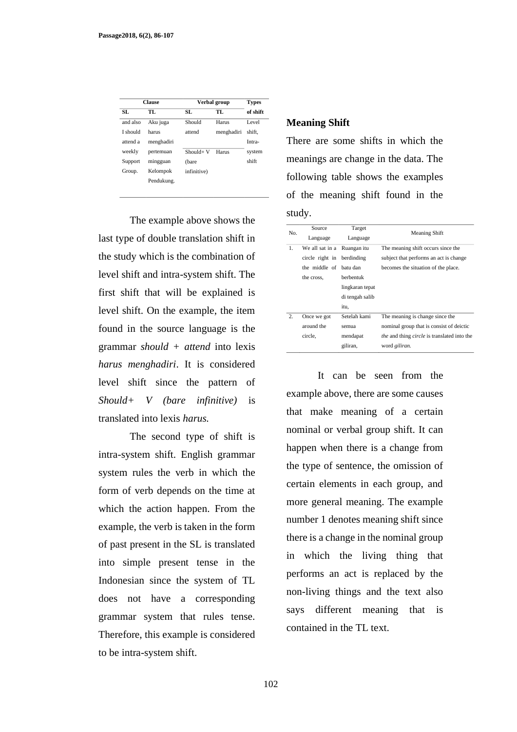|          | <b>Clause</b> |             | Verbal group |          |
|----------|---------------|-------------|--------------|----------|
| SL.      | TL.           | SL.         | TL           | of shift |
| and also | Aku juga      | Should      | Harus        | Level    |
| I should | harus         | attend      | menghadiri   | shift.   |
| attend a | menghadiri    |             |              | Intra-   |
| weekly   | pertemuan     | $Should+V$  | Harus        | system   |
| Support  | mingguan      | (bare)      |              | shift    |
| Group.   | Kelompok      | infinitive) |              |          |
|          | Pendukung.    |             |              |          |

The example above shows the last type of double translation shift in the study which is the combination of level shift and intra-system shift. The first shift that will be explained is level shift. On the example, the item found in the source language is the grammar *should + attend* into lexis *harus menghadiri*. It is considered level shift since the pattern of *Should+ V (bare infinitive)* is translated into lexis *harus.*

The second type of shift is intra-system shift. English grammar system rules the verb in which the form of verb depends on the time at which the action happen. From the example, the verb is taken in the form of past present in the SL is translated into simple present tense in the Indonesian since the system of TL does not have a corresponding grammar system that rules tense. Therefore, this example is considered to be intra-system shift.

#### **Meaning Shift**

There are some shifts in which the meanings are change in the data. The following table shows the examples of the meaning shift found in the study.

| No.              | Source                     | Target          | <b>Meaning Shift</b>                                      |
|------------------|----------------------------|-----------------|-----------------------------------------------------------|
|                  | Language                   | Language        |                                                           |
| 1.               | We all sat in a            | Ruangan itu     | The meaning shift occurs since the                        |
|                  | circle right in berdinding |                 | subject that performs an act is change.                   |
|                  | the middle of batu dan     |                 | becomes the situation of the place.                       |
|                  | the cross,                 | berbentuk       |                                                           |
|                  |                            | lingkaran tepat |                                                           |
|                  |                            | di tengah salib |                                                           |
|                  |                            | itu,            |                                                           |
| $\overline{2}$ . | Once we got                | Setelah kami    | The meaning is change since the                           |
|                  | around the                 | semua           | nominal group that is consist of deictic                  |
|                  | circle,                    | mendapat        | <i>the</i> and thing <i>circle</i> is translated into the |
|                  |                            | giliran,        | word giliran.                                             |

It can be seen from the example above, there are some causes that make meaning of a certain nominal or verbal group shift. It can happen when there is a change from the type of sentence, the omission of certain elements in each group, and more general meaning. The example number 1 denotes meaning shift since there is a change in the nominal group in which the living thing that performs an act is replaced by the non-living things and the text also says different meaning that is contained in the TL text.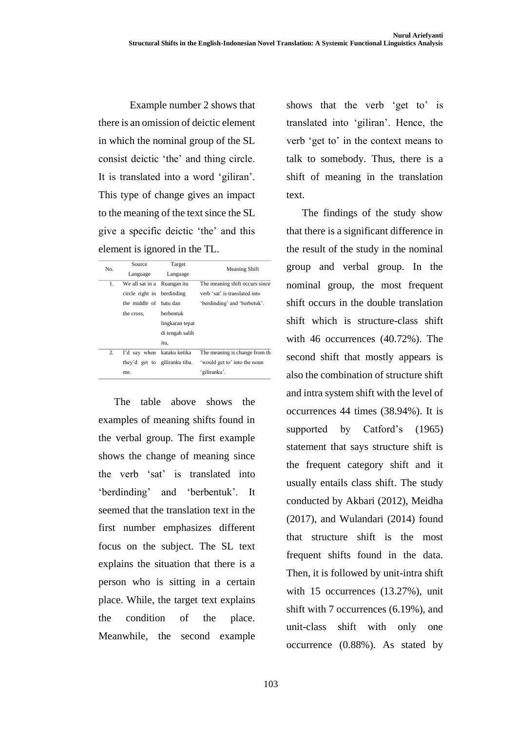Example number 2 shows that there is an omission of deictic element in which the nominal group of the SL consist deictic 'the' and thing circle. It is translated into a word 'giliran'. This type of change gives an impact to the meaning of the text since the SL give a specific deictic 'the' and this element is ignored in the TL.

| No. | Source                        | Target          | <b>Meaning Shift</b>           |
|-----|-------------------------------|-----------------|--------------------------------|
|     | Language                      | Language        |                                |
| 1.  | We all sat in a Ruangan itu   |                 | The meaning shift occurs since |
|     | circle right in berdinding    |                 | verb 'sat' is translated into  |
|     | the middle of batu dan        |                 | 'berdinding' and 'berbetuk'.   |
|     | the cross.                    | berbentuk       |                                |
|     |                               | lingkaran tepat |                                |
|     |                               | di tengah salib |                                |
|     |                               | itu,            |                                |
| 2.  | I'd say when kataku ketika    |                 | The meaning is change from the |
|     | they'd get to giliranku tiba. |                 | 'would get to' into the noun   |
|     | me.                           |                 | 'giliranku'.                   |
|     |                               |                 |                                |

The table above shows the examples of meaning shifts found in the verbal group. The first example shows the change of meaning since the verb 'sat' is translated into 'berdinding' and 'berbentuk'. It seemed that the translation text in the first number emphasizes different focus on the subject. The SL text explains the situation that there is a person who is sitting in a certain place. While, the target text explains the condition of the place. Meanwhile, the second example shows that the verb 'get to' is translated into 'giliran'. Hence, the verb 'get to' in the context means to talk to somebody. Thus, there is a shift of meaning in the translation text.

The findings of the study show that there is a significant difference in the result of the study in the nominal group and verbal group. In the nominal group, the most frequent shift occurs in the double translation shift which is structure-class shift with 46 occurrences (40.72%). The second shift that mostly appears is also the combination of structure shift and intra system shift with the level of occurrences 44 times (38.94%). It is supported by Catford's (1965) statement that says structure shift is the frequent category shift and it usually entails class shift. The study conducted by Akbari (2012), Meidha (2017), and Wulandari (2014) found that structure shift is the most frequent shifts found in the data. Then, it is followed by unit-intra shift with 15 occurrences (13.27%), unit shift with 7 occurrences (6.19%), and unit-class shift with only one occurrence (0.88%). As stated by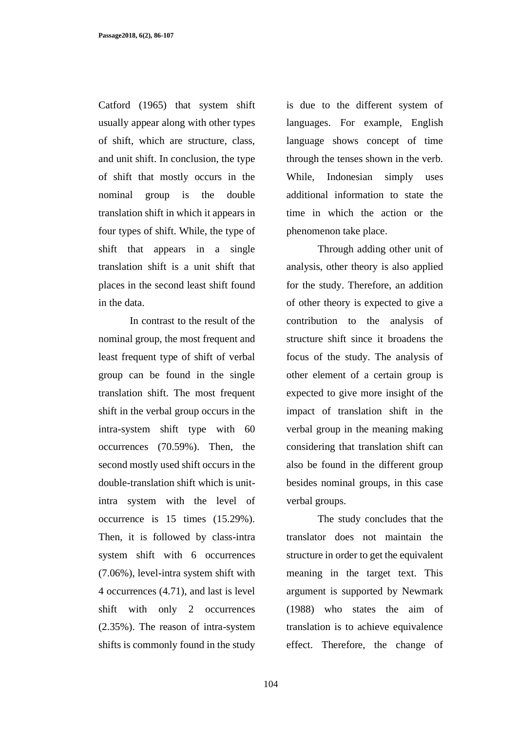Catford (1965) that system shift usually appear along with other types of shift, which are structure, class, and unit shift. In conclusion, the type of shift that mostly occurs in the nominal group is the double translation shift in which it appears in four types of shift. While, the type of shift that appears in a single translation shift is a unit shift that places in the second least shift found in the data.

In contrast to the result of the nominal group, the most frequent and least frequent type of shift of verbal group can be found in the single translation shift. The most frequent shift in the verbal group occurs in the intra-system shift type with 60 occurrences (70.59%). Then, the second mostly used shift occurs in the double-translation shift which is unitintra system with the level of occurrence is 15 times (15.29%). Then, it is followed by class-intra system shift with 6 occurrences (7.06%), level-intra system shift with 4 occurrences (4.71), and last is level shift with only 2 occurrences (2.35%). The reason of intra-system shifts is commonly found in the study is due to the different system of languages. For example, English language shows concept of time through the tenses shown in the verb. While, Indonesian simply uses additional information to state the time in which the action or the phenomenon take place.

Through adding other unit of analysis, other theory is also applied for the study. Therefore, an addition of other theory is expected to give a contribution to the analysis of structure shift since it broadens the focus of the study. The analysis of other element of a certain group is expected to give more insight of the impact of translation shift in the verbal group in the meaning making considering that translation shift can also be found in the different group besides nominal groups, in this case verbal groups.

The study concludes that the translator does not maintain the structure in order to get the equivalent meaning in the target text. This argument is supported by Newmark (1988) who states the aim of translation is to achieve equivalence effect. Therefore, the change of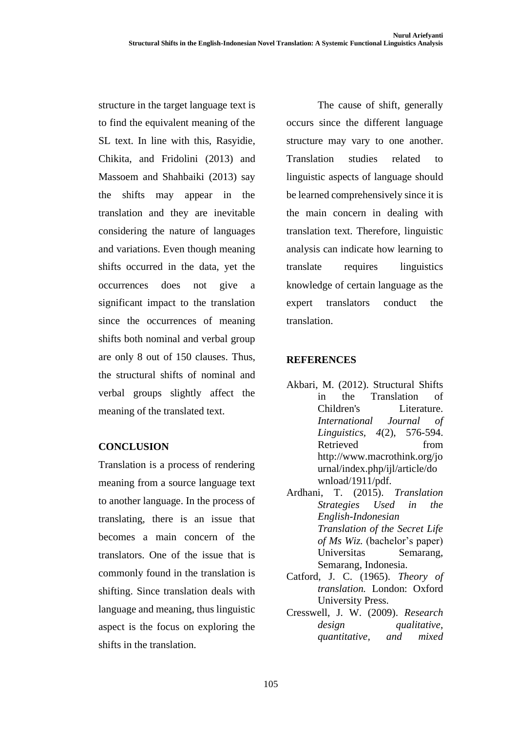structure in the target language text is to find the equivalent meaning of the SL text. In line with this, Rasyidie, Chikita, and Fridolini (2013) and Massoem and Shahbaiki (2013) say the shifts may appear in the translation and they are inevitable considering the nature of languages and variations. Even though meaning shifts occurred in the data, yet the occurrences does not give a significant impact to the translation since the occurrences of meaning shifts both nominal and verbal group are only 8 out of 150 clauses. Thus, the structural shifts of nominal and verbal groups slightly affect the meaning of the translated text.

## **CONCLUSION**

Translation is a process of rendering meaning from a source language text to another language. In the process of translating, there is an issue that becomes a main concern of the translators. One of the issue that is commonly found in the translation is shifting. Since translation deals with language and meaning, thus linguistic aspect is the focus on exploring the shifts in the translation.

The cause of shift, generally occurs since the different language structure may vary to one another. Translation studies related to linguistic aspects of language should be learned comprehensively since it is the main concern in dealing with translation text. Therefore, linguistic analysis can indicate how learning to translate requires linguistics knowledge of certain language as the expert translators conduct the translation.

## **REFERENCES**

- Akbari, M. (2012). Structural Shifts in the Translation of Children's Literature. *International Journal of Linguistics, 4*(2), 576-594. Retrieved from http://www.macrothink.org/jo urnal/index.php/ijl/article/do wnload/1911/pdf.
- Ardhani, T. (2015). *Translation Strategies Used in the English-Indonesian Translation of the Secret Life of Ms Wiz.* (bachelor's paper) Universitas Semarang, Semarang, Indonesia.
- Catford, J. C. (1965). *Theory of translation.* London: Oxford University Press.
- Cresswell, J. W. (2009). *Research design qualitative, quantitative, and mixed*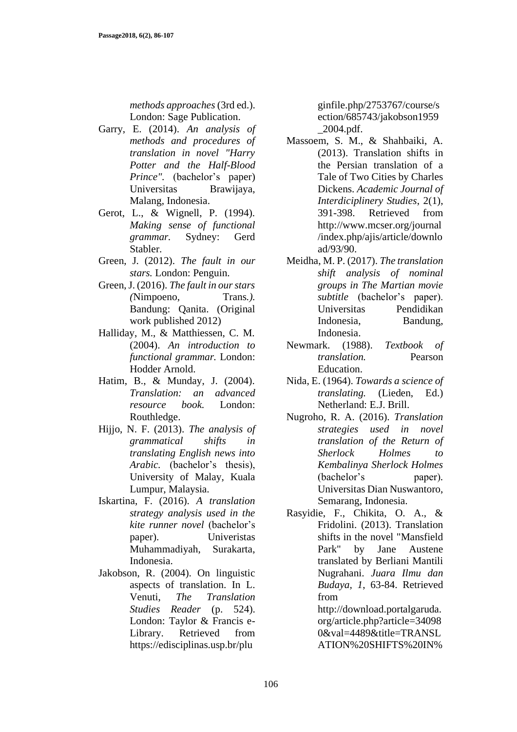*methods approaches* (3rd ed.). London: Sage Publication.

- Garry, E. (2014). *An analysis of methods and procedures of translation in novel "Harry Potter and the Half-Blood Prince".* (bachelor's paper) Universitas Brawijaya, Malang, Indonesia.
- Gerot, L., & Wignell, P. (1994). *Making sense of functional grammar.* Sydney: Gerd Stabler.
- Green, J. (2012). *The fault in our stars.* London: Penguin.
- Green, J. (2016). *The fault in our stars (*Nimpoeno, Trans*.).* Bandung: Qanita. (Original work published 2012)
- Halliday, M., & Matthiessen, C. M. (2004). *An introduction to functional grammar.* London: Hodder Arnold.
- Hatim, B., & Munday, J. (2004). *Translation: an advanced resource book.* London: Routhledge.
- Hijjo, N. F. (2013). *The analysis of grammatical shifts in translating English news into Arabic.* (bachelor's thesis), University of Malay, Kuala Lumpur, Malaysia.
- Iskartina, F. (2016). *A translation strategy analysis used in the kite runner novel* (bachelor's paper). Univeristas Muhammadiyah, Surakarta, Indonesia.
- Jakobson, R. (2004). On linguistic aspects of translation. In L. Venuti, *The Translation Studies Reader* (p. 524). London: Taylor & Francis e-Library. Retrieved from https://edisciplinas.usp.br/plu

ginfile.php/2753767/course/s ection/685743/jakobson1959 \_2004.pdf.

- Massoem, S. M., & Shahbaiki, A. (2013). Translation shifts in the Persian translation of a Tale of Two Cities by Charles Dickens. *Academic Journal of Interdiciplinery Studies*, 2(1), 391-398. Retrieved from http://www.mcser.org/journal /index.php/ajis/article/downlo ad/93/90.
- Meidha, M. P. (2017). *The translation shift analysis of nominal groups in The Martian movie subtitle* (bachelor's paper). Universitas Pendidikan Indonesia, Bandung, Indonesia.
- Newmark. (1988). *Textbook of translation.* Pearson Education.
- Nida, E. (1964). *Towards a science of translating.* (Lieden, Ed.) Netherland: E.J. Brill.
- Nugroho, R. A. (2016). *Translation strategies used in novel translation of the Return of Sherlock Holmes to Kembalinya Sherlock Holmes*  (bachelor's paper)*.* Universitas Dian Nuswantoro, Semarang, Indonesia.
- Rasyidie, F., Chikita, O. A., & Fridolini. (2013). Translation shifts in the novel "Mansfield Park" by Jane Austene translated by Berliani Mantili Nugrahani. *Juara Ilmu dan Budaya, 1*, 63-84. Retrieved from http://download.portalgaruda.

org/article.php?article=34098 0&val=4489&title=TRANSL ATION%20SHIFTS%20IN%